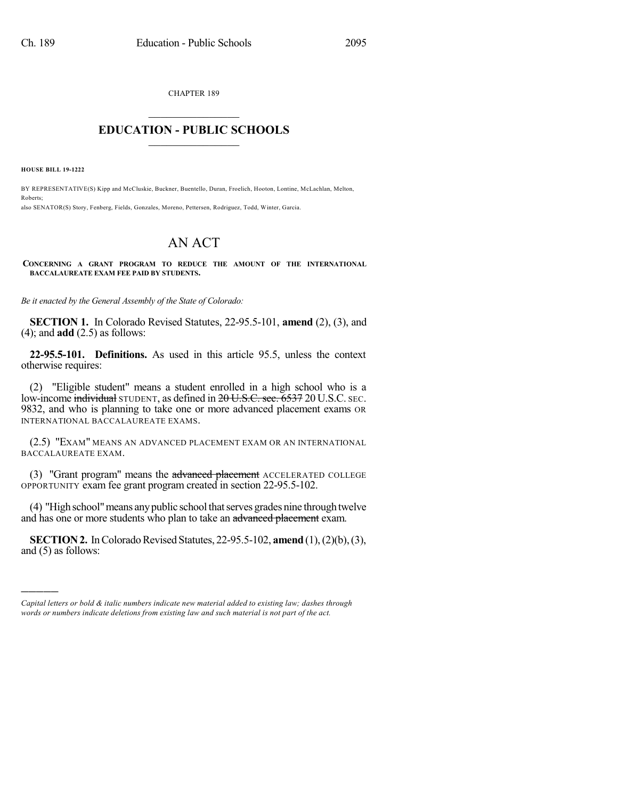CHAPTER 189

## $\overline{\phantom{a}}$  . The set of the set of the set of the set of the set of the set of the set of the set of the set of the set of the set of the set of the set of the set of the set of the set of the set of the set of the set o **EDUCATION - PUBLIC SCHOOLS**  $\_$   $\_$   $\_$   $\_$   $\_$   $\_$   $\_$   $\_$   $\_$

**HOUSE BILL 19-1222**

)))))

BY REPRESENTATIVE(S) Kipp and McCluskie, Buckner, Buentello, Duran, Froelich, Hooton, Lontine, McLachlan, Melton, Roberts; also SENATOR(S) Story, Fenberg, Fields, Gonzales, Moreno, Pettersen, Rodriguez, Todd, Winter, Garcia.

## AN ACT

**CONCERNING A GRANT PROGRAM TO REDUCE THE AMOUNT OF THE INTERNATIONAL BACCALAUREATE EXAM FEE PAID BY STUDENTS.**

*Be it enacted by the General Assembly of the State of Colorado:*

**SECTION 1.** In Colorado Revised Statutes, 22-95.5-101, **amend** (2), (3), and (4); and **add** (2.5) as follows:

**22-95.5-101. Definitions.** As used in this article 95.5, unless the context otherwise requires:

(2) "Eligible student" means a student enrolled in a high school who is a low-income individual STUDENT, as defined in 20 U.S.C. sec. 6537 20 U.S.C. SEC. 9832, and who is planning to take one or more advanced placement exams OR INTERNATIONAL BACCALAUREATE EXAMS.

(2.5) "EXAM" MEANS AN ADVANCED PLACEMENT EXAM OR AN INTERNATIONAL BACCALAUREATE EXAM.

(3) "Grant program" means the advanced placement ACCELERATED COLLEGE OPPORTUNITY exam fee grant program created in section 22-95.5-102.

(4) "High school" means any public school that serves grades nine through twelve and has one or more students who plan to take an advanced placement exam.

**SECTION 2.** In Colorado Revised Statutes, 22-95.5-102, **amend** (1), (2)(b), (3), and (5) as follows:

*Capital letters or bold & italic numbers indicate new material added to existing law; dashes through words or numbers indicate deletions from existing law and such material is not part of the act.*